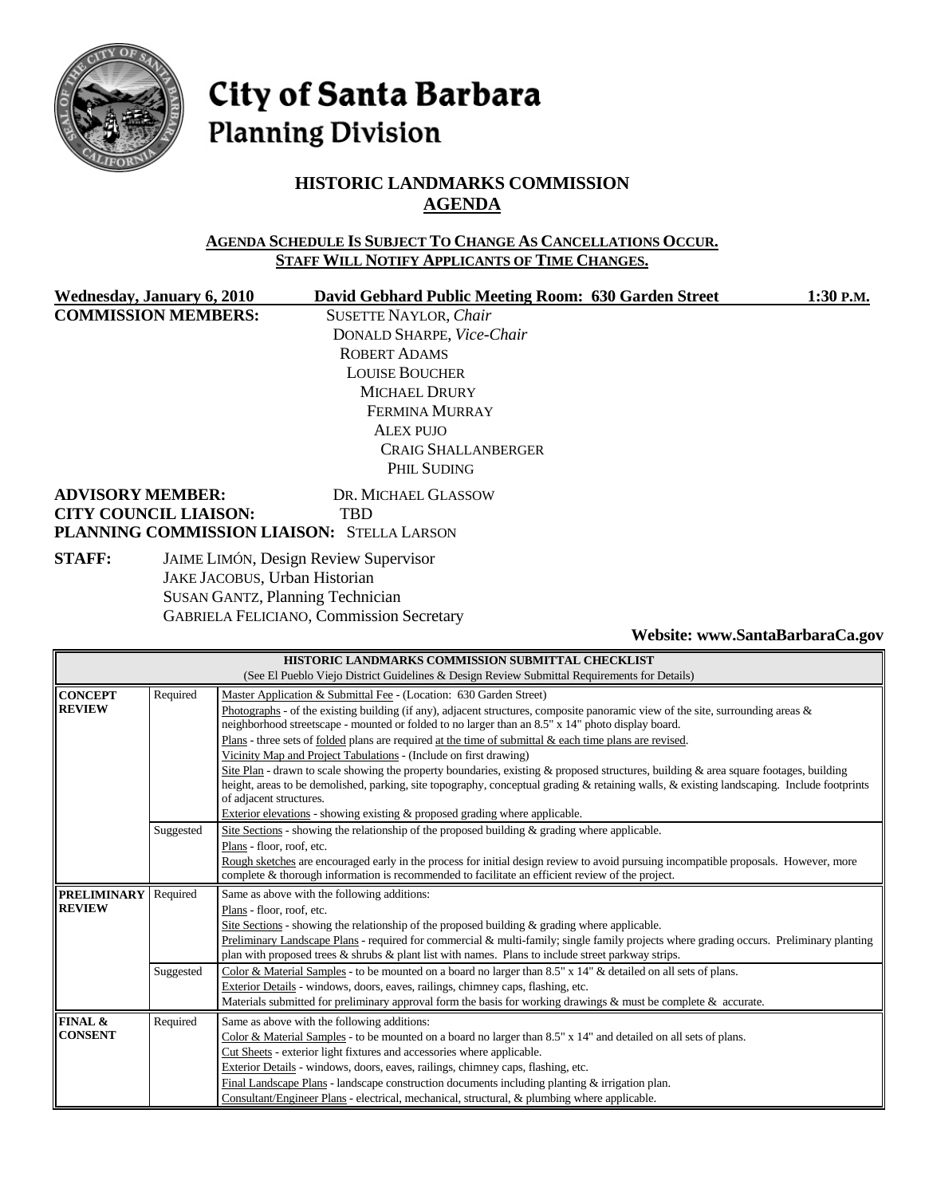

# City of Santa Barbara **Planning Division**

## **HISTORIC LANDMARKS COMMISSION AGENDA**

#### **AGENDA SCHEDULE IS SUBJECT TO CHANGE AS CANCELLATIONS OCCUR. STAFF WILL NOTIFY APPLICANTS OF TIME CHANGES.**

**COMMISSION MEMBERS:** SUSETTE NAYLOR, *Chair*

Wednesday, January 6, 2010 David Gebhard Public Meeting Room: 630 Garden Street 1:30 P.M.

DONALD SHARPE, *Vice-Chair* ROBERT ADAMS LOUISE BOUCHER MICHAEL DRURY FERMINA MURRAY ALEX PUJO CRAIG SHALLANBERGER PHIL SUDING

#### **ADVISORY MEMBER:** DR. MICHAEL GLASSOW **CITY COUNCIL LIAISON:** TBD **PLANNING COMMISSION LIAISON:** STELLA LARSON

**STAFF:** JAIME LIMÓN, Design Review Supervisor JAKE JACOBUS, Urban Historian SUSAN GANTZ, Planning Technician GABRIELA FELICIANO, Commission Secretary

**Website: www.SantaBarbaraCa.gov** 

| HISTORIC LANDMARKS COMMISSION SUBMITTAL CHECKLIST                                            |                                                                                                   |                                                                                                                                            |  |  |  |  |
|----------------------------------------------------------------------------------------------|---------------------------------------------------------------------------------------------------|--------------------------------------------------------------------------------------------------------------------------------------------|--|--|--|--|
| (See El Pueblo Viejo District Guidelines & Design Review Submittal Requirements for Details) |                                                                                                   |                                                                                                                                            |  |  |  |  |
| <b>CONCEPT</b>                                                                               | Required                                                                                          | Master Application & Submittal Fee - (Location: 630 Garden Street)                                                                         |  |  |  |  |
| <b>REVIEW</b>                                                                                |                                                                                                   | Photographs - of the existing building (if any), adjacent structures, composite panoramic view of the site, surrounding areas $\&$         |  |  |  |  |
|                                                                                              | neighborhood streetscape - mounted or folded to no larger than an 8.5" x 14" photo display board. |                                                                                                                                            |  |  |  |  |
|                                                                                              |                                                                                                   | Plans - three sets of folded plans are required at the time of submittal & each time plans are revised.                                    |  |  |  |  |
|                                                                                              |                                                                                                   | Vicinity Map and Project Tabulations - (Include on first drawing)                                                                          |  |  |  |  |
|                                                                                              |                                                                                                   | Site Plan - drawn to scale showing the property boundaries, existing & proposed structures, building & area square footages, building      |  |  |  |  |
|                                                                                              |                                                                                                   | height, areas to be demolished, parking, site topography, conceptual grading & retaining walls, & existing landscaping. Include footprints |  |  |  |  |
|                                                                                              |                                                                                                   | of adjacent structures.                                                                                                                    |  |  |  |  |
|                                                                                              | Exterior elevations - showing existing & proposed grading where applicable.                       |                                                                                                                                            |  |  |  |  |
|                                                                                              | Site Sections - showing the relationship of the proposed building $\&$ grading where applicable.  |                                                                                                                                            |  |  |  |  |
|                                                                                              |                                                                                                   | Plans - floor, roof, etc.                                                                                                                  |  |  |  |  |
|                                                                                              |                                                                                                   | Rough sketches are encouraged early in the process for initial design review to avoid pursuing incompatible proposals. However, more       |  |  |  |  |
|                                                                                              |                                                                                                   | complete & thorough information is recommended to facilitate an efficient review of the project.                                           |  |  |  |  |
| <b>PRELIMINARY</b>                                                                           | Required                                                                                          | Same as above with the following additions:                                                                                                |  |  |  |  |
| <b>REVIEW</b>                                                                                | Plans - floor, roof, etc.                                                                         |                                                                                                                                            |  |  |  |  |
|                                                                                              |                                                                                                   | Site Sections - showing the relationship of the proposed building $\&$ grading where applicable.                                           |  |  |  |  |
|                                                                                              |                                                                                                   | Preliminary Landscape Plans - required for commercial & multi-family; single family projects where grading occurs. Preliminary planting    |  |  |  |  |
|                                                                                              |                                                                                                   | plan with proposed trees & shrubs & plant list with names. Plans to include street parkway strips.                                         |  |  |  |  |
|                                                                                              | Suggested                                                                                         | Color & Material Samples - to be mounted on a board no larger than 8.5" x 14" & detailed on all sets of plans.                             |  |  |  |  |
|                                                                                              |                                                                                                   | Exterior Details - windows, doors, eaves, railings, chimney caps, flashing, etc.                                                           |  |  |  |  |
|                                                                                              |                                                                                                   | Materials submitted for preliminary approval form the basis for working drawings & must be complete & accurate.                            |  |  |  |  |
| FINAL &                                                                                      | Required                                                                                          | Same as above with the following additions:                                                                                                |  |  |  |  |
| <b>CONSENT</b>                                                                               |                                                                                                   | Color & Material Samples - to be mounted on a board no larger than 8.5" x 14" and detailed on all sets of plans.                           |  |  |  |  |
|                                                                                              |                                                                                                   | Cut Sheets - exterior light fixtures and accessories where applicable.                                                                     |  |  |  |  |
|                                                                                              |                                                                                                   | Exterior Details - windows, doors, eaves, railings, chimney caps, flashing, etc.                                                           |  |  |  |  |
|                                                                                              |                                                                                                   | Final Landscape Plans - landscape construction documents including planting $\&$ irrigation plan.                                          |  |  |  |  |
|                                                                                              |                                                                                                   | Consultant/Engineer Plans - electrical, mechanical, structural, & plumbing where applicable.                                               |  |  |  |  |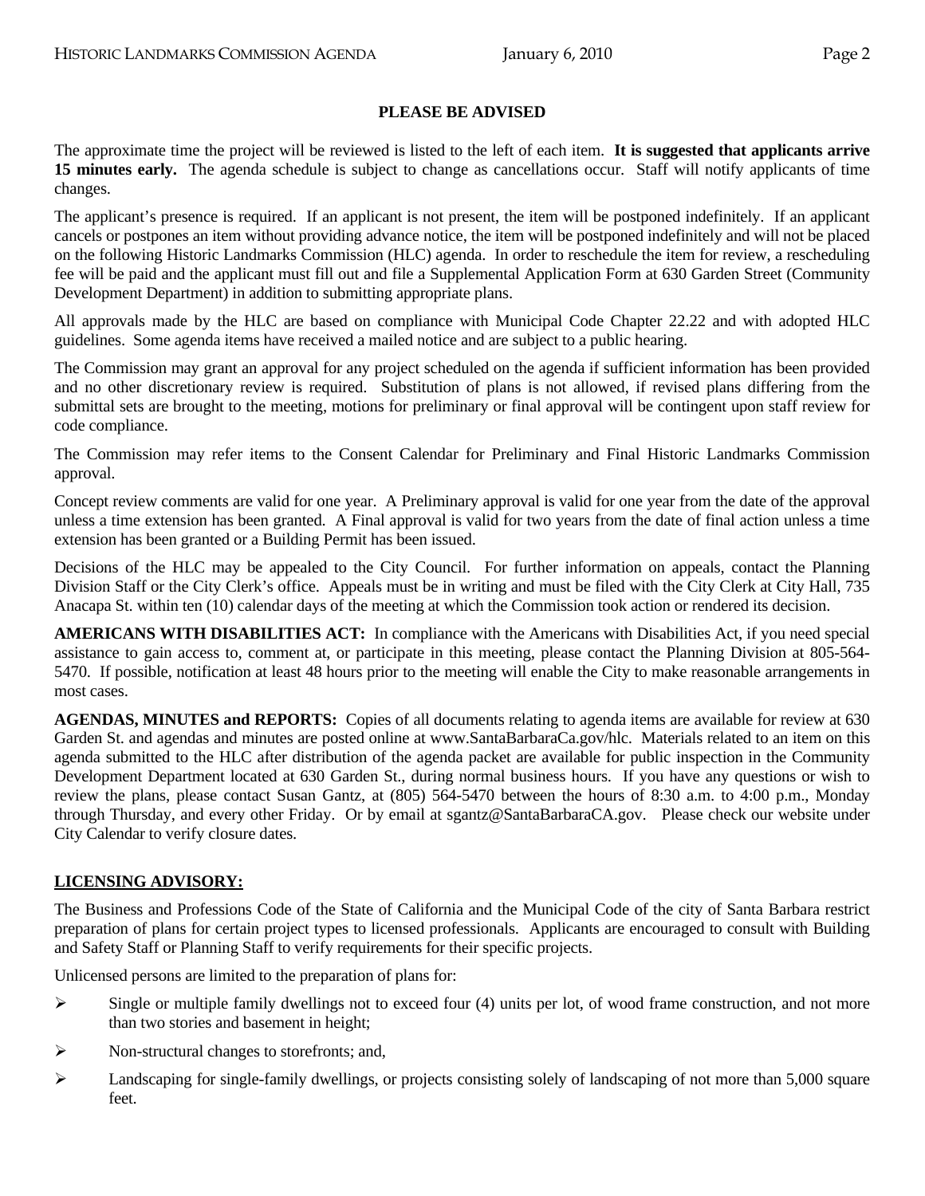#### **PLEASE BE ADVISED**

The approximate time the project will be reviewed is listed to the left of each item. **It is suggested that applicants arrive 15 minutes early.** The agenda schedule is subject to change as cancellations occur. Staff will notify applicants of time changes.

The applicant's presence is required. If an applicant is not present, the item will be postponed indefinitely. If an applicant cancels or postpones an item without providing advance notice, the item will be postponed indefinitely and will not be placed on the following Historic Landmarks Commission (HLC) agenda. In order to reschedule the item for review, a rescheduling fee will be paid and the applicant must fill out and file a Supplemental Application Form at 630 Garden Street (Community Development Department) in addition to submitting appropriate plans.

All approvals made by the HLC are based on compliance with Municipal Code Chapter 22.22 and with adopted HLC guidelines. Some agenda items have received a mailed notice and are subject to a public hearing.

The Commission may grant an approval for any project scheduled on the agenda if sufficient information has been provided and no other discretionary review is required. Substitution of plans is not allowed, if revised plans differing from the submittal sets are brought to the meeting, motions for preliminary or final approval will be contingent upon staff review for code compliance.

The Commission may refer items to the Consent Calendar for Preliminary and Final Historic Landmarks Commission approval.

Concept review comments are valid for one year. A Preliminary approval is valid for one year from the date of the approval unless a time extension has been granted. A Final approval is valid for two years from the date of final action unless a time extension has been granted or a Building Permit has been issued.

Decisions of the HLC may be appealed to the City Council. For further information on appeals, contact the Planning Division Staff or the City Clerk's office. Appeals must be in writing and must be filed with the City Clerk at City Hall, 735 Anacapa St. within ten (10) calendar days of the meeting at which the Commission took action or rendered its decision.

**AMERICANS WITH DISABILITIES ACT:** In compliance with the Americans with Disabilities Act, if you need special assistance to gain access to, comment at, or participate in this meeting, please contact the Planning Division at 805-564- 5470. If possible, notification at least 48 hours prior to the meeting will enable the City to make reasonable arrangements in most cases.

**AGENDAS, MINUTES and REPORTS:** Copies of all documents relating to agenda items are available for review at 630 Garden St. and agendas and minutes are posted online at www.SantaBarbaraCa.gov/hlc. Materials related to an item on this agenda submitted to the HLC after distribution of the agenda packet are available for public inspection in the Community Development Department located at 630 Garden St., during normal business hours. If you have any questions or wish to review the plans, please contact Susan Gantz, at (805) 564-5470 between the hours of 8:30 a.m. to 4:00 p.m., Monday through Thursday, and every other Friday. Or by email at sgantz@SantaBarbaraCA.gov. Please check our website under City Calendar to verify closure dates.

#### **LICENSING ADVISORY:**

The Business and Professions Code of the State of California and the Municipal Code of the city of Santa Barbara restrict preparation of plans for certain project types to licensed professionals. Applicants are encouraged to consult with Building and Safety Staff or Planning Staff to verify requirements for their specific projects.

Unlicensed persons are limited to the preparation of plans for:

- $\triangleright$  Single or multiple family dwellings not to exceed four (4) units per lot, of wood frame construction, and not more than two stories and basement in height;
- ¾ Non-structural changes to storefronts; and,
- $\blacktriangleright$  Landscaping for single-family dwellings, or projects consisting solely of landscaping of not more than 5,000 square feet.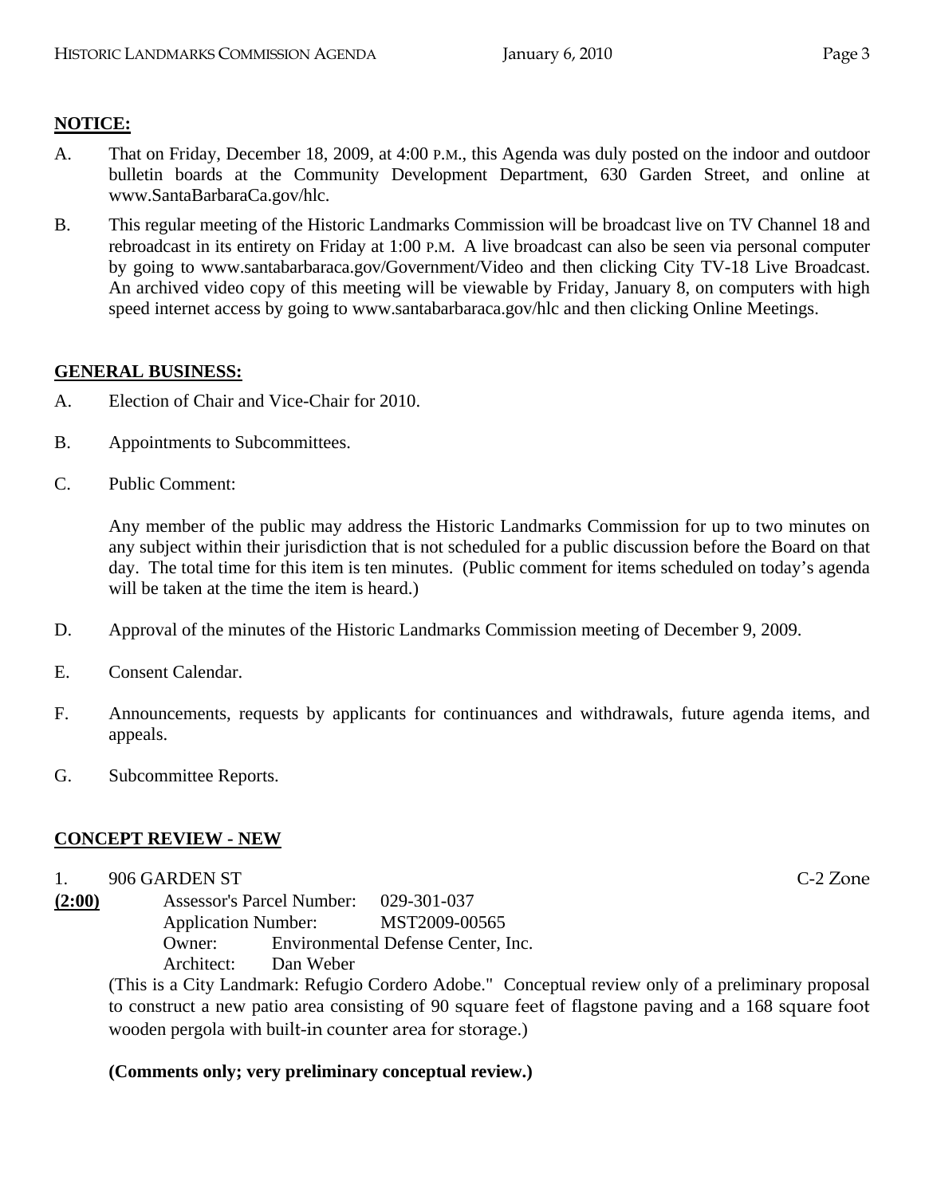## **NOTICE:**

- A. That on Friday, December 18, 2009, at 4:00 P.M., this Agenda was duly posted on the indoor and outdoor bulletin boards at the Community Development Department, 630 Garden Street, and online at www.SantaBarbaraCa.gov/hlc.
- B. This regular meeting of the Historic Landmarks Commission will be broadcast live on TV Channel 18 and rebroadcast in its entirety on Friday at 1:00 P.M. A live broadcast can also be seen via personal computer by going to www.santabarbaraca.gov/Government/Video and then clicking City TV-18 Live Broadcast. An archived video copy of this meeting will be viewable by Friday, January 8, on computers with high speed internet access by going to www.santabarbaraca.gov/hlc and then clicking Online Meetings.

## **GENERAL BUSINESS:**

- A. Election of Chair and Vice-Chair for 2010.
- B. Appointments to Subcommittees.
- C. Public Comment:

Any member of the public may address the Historic Landmarks Commission for up to two minutes on any subject within their jurisdiction that is not scheduled for a public discussion before the Board on that day. The total time for this item is ten minutes. (Public comment for items scheduled on today's agenda will be taken at the time the item is heard.)

- D. Approval of the minutes of the Historic Landmarks Commission meeting of December 9, 2009.
- E. Consent Calendar.
- F. Announcements, requests by applicants for continuances and withdrawals, future agenda items, and appeals.
- G. Subcommittee Reports.

## **CONCEPT REVIEW - NEW**

1. 906 GARDEN ST C-2 Zone

**(2:00)** Assessor's Parcel Number: 029-301-037 Application Number: MST2009-00565 Owner: Environmental Defense Center, Inc. Architect: Dan Weber

(This is a City Landmark: Refugio Cordero Adobe." Conceptual review only of a preliminary proposal to construct a new patio area consisting of 90 square feet of flagstone paving and a 168 square foot wooden pergola with built-in counter area for storage.)

#### **(Comments only; very preliminary conceptual review.)**